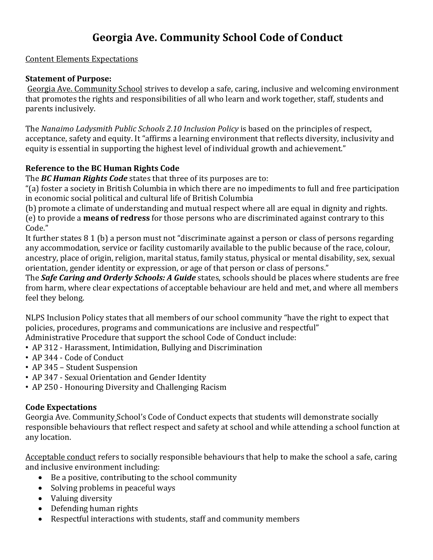# **Georgia Ave. Community School Code of Conduct**

### Content Elements Expectations

### **Statement of Purpose:**

Georgia Ave. Community School strives to develop a safe, caring, inclusive and welcoming environment that promotes the rights and responsibilities of all who learn and work together, staff, students and parents inclusively.

The *Nanaimo Ladysmith Public Schools 2.10 Inclusion Policy* is based on the principles of respect, acceptance, safety and equity. It "affirms a learning environment that reflects diversity, inclusivity and equity is essential in supporting the highest level of individual growth and achievement."

### **Reference to the BC Human Rights Code**

The *BC Human Rights Code* states that three of its purposes are to:

"(a) foster a society in British Columbia in which there are no impediments to full and free participation in economic social political and cultural life of British Columbia

(b) promote a climate of understanding and mutual respect where all are equal in dignity and rights. (e) to provide a **means of redress** for those persons who are discriminated against contrary to this Code."

It further states 8 1 (b) a person must not "discriminate against a person or class of persons regarding any accommodation, service or facility customarily available to the public because of the race, colour, ancestry, place of origin, religion, marital status, family status, physical or mental disability, sex, sexual orientation, gender identity or expression, or age of that person or class of persons."

The *Safe Caring and Orderly Schools: A Guide* states, schools should be places where students are free from harm, where clear expectations of acceptable behaviour are held and met, and where all members feel they belong.

NLPS Inclusion Policy states that all members of our school community "have the right to expect that policies, procedures, programs and communications are inclusive and respectful"

- Administrative Procedure that support the school Code of Conduct include:
- AP 312 Harassment, Intimidation, Bullying and Discrimination
- AP 344 Code of Conduct
- AP 345 Student Suspension
- AP 347 Sexual Orientation and Gender Identity
- AP 250 Honouring Diversity and Challenging Racism

### **Code Expectations**

Georgia Ave. Community School's Code of Conduct expects that students will demonstrate socially responsible behaviours that reflect respect and safety at school and while attending a school function at any location.

Acceptable conduct refers to socially responsible behaviours that help to make the school a safe, caring and inclusive environment including:

- Be a positive, contributing to the school community
- Solving problems in peaceful ways
- Valuing diversity
- Defending human rights
- Respectful interactions with students, staff and community members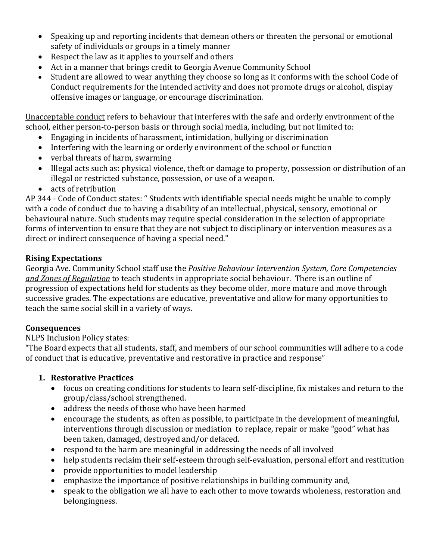- Speaking up and reporting incidents that demean others or threaten the personal or emotional safety of individuals or groups in a timely manner
- Respect the law as it applies to yourself and others
- Act in a manner that brings credit to Georgia Avenue Community School
- Student are allowed to wear anything they choose so long as it conforms with the school Code of Conduct requirements for the intended activity and does not promote drugs or alcohol, display offensive images or language, or encourage discrimination.

Unacceptable conduct refers to behaviour that interferes with the safe and orderly environment of the school, either person-to-person basis or through social media, including, but not limited to:

- Engaging in incidents of harassment, intimidation, bullying or discrimination
- Interfering with the learning or orderly environment of the school or function
- verbal threats of harm, swarming
- Illegal acts such as: physical violence, theft or damage to property, possession or distribution of an illegal or restricted substance, possession, or use of a weapon.
- acts of retribution

AP 344 - Code of Conduct states: " Students with identifiable special needs might be unable to comply with a code of conduct due to having a disability of an intellectual, physical, sensory, emotional or behavioural nature. Such students may require special consideration in the selection of appropriate forms of intervention to ensure that they are not subject to disciplinary or intervention measures as a direct or indirect consequence of having a special need."

## **Rising Expectations**

Georgia Ave. Community School staff use the *Positive Behaviour Intervention System, Core Competencies and Zones of Regulation* to teach students in appropriate social behaviour. There is an outline of progression of expectations held for students as they become older, more mature and move through successive grades. The expectations are educative, preventative and allow for many opportunities to teach the same social skill in a variety of ways.

## **Consequences**

NLPS Inclusion Policy states:

"The Board expects that all students, staff, and members of our school communities will adhere to a code of conduct that is educative, preventative and restorative in practice and response"

# **1. Restorative Practices**

- focus on creating conditions for students to learn self-discipline, fix mistakes and return to the group/class/school strengthened.
- address the needs of those who have been harmed
- encourage the students, as often as possible, to participate in the development of meaningful, interventions through discussion or mediation to replace, repair or make "good" what has been taken, damaged, destroyed and/or defaced.
- respond to the harm are meaningful in addressing the needs of all involved
- help students reclaim their self-esteem through self-evaluation, personal effort and restitution
- provide opportunities to model leadership
- emphasize the importance of positive relationships in building community and,
- speak to the obligation we all have to each other to move towards wholeness, restoration and belongingness.